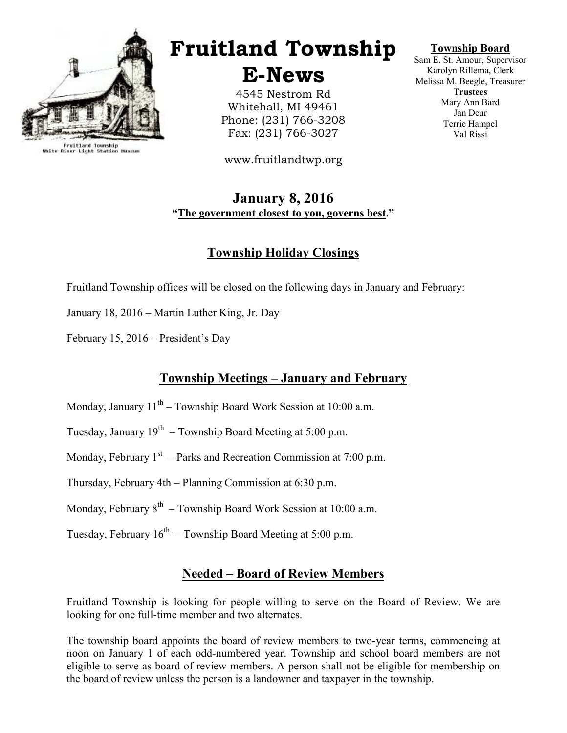

Fruitland Township<br>White River Light Station Museum

# Fruitland Township

E-News

4545 Nestrom Rd Whitehall, MI 49461 Phone: (231) 766-3208 Fax: (231) 766-3027

www.fruitlandtwp.org

### January 8, 2016 "The government closest to you, governs best."

# Township Holiday Closings

Fruitland Township offices will be closed on the following days in January and February:

January 18, 2016 – Martin Luther King, Jr. Day

February 15, 2016 – President's Day

# Township Meetings – January and February

- Monday, January  $11^{th}$  Township Board Work Session at 10:00 a.m.
- Tuesday, January  $19^{th}$  Township Board Meeting at 5:00 p.m.
- Monday, February  $1<sup>st</sup>$  Parks and Recreation Commission at 7:00 p.m.
- Thursday, February 4th Planning Commission at 6:30 p.m.
- Monday, February  $8<sup>th</sup>$  Township Board Work Session at 10:00 a.m.
- Tuesday, February  $16<sup>th</sup>$  Township Board Meeting at 5:00 p.m.

#### Needed – Board of Review Members

Fruitland Township is looking for people willing to serve on the Board of Review. We are looking for one full-time member and two alternates.

The township board appoints the board of review members to two-year terms, commencing at noon on January 1 of each odd-numbered year. Township and school board members are not eligible to serve as board of review members. A person shall not be eligible for membership on the board of review unless the person is a landowner and taxpayer in the township.

#### Township Board

Sam E. St. Amour, Supervisor Karolyn Rillema, Clerk Melissa M. Beegle, Treasurer **Trustees** Mary Ann Bard Jan Deur Terrie Hampel Val Rissi